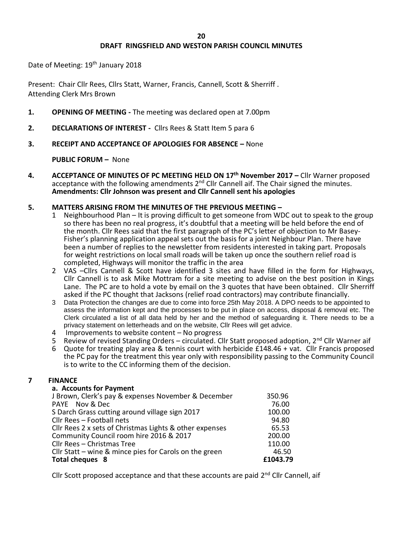# **DRAFT RINGSFIELD AND WESTON PARISH COUNCIL MINUTES**

Date of Meeting: 19<sup>th</sup> January 2018

Present: Chair Cllr Rees, Cllrs Statt, Warner, Francis, Cannell, Scott & Sherriff . Attending Clerk Mrs Brown

- **1. OPENING OF MEETING -** The meeting was declared open at 7.00pm
- **2. DECLARATIONS OF INTEREST** Cllrs Rees & Statt Item 5 para 6
- **3. RECEIPT AND ACCEPTANCE OF APOLOGIES FOR ABSENCE –** None

**PUBLIC FORUM –** None

- **4. ACCEPTANCE OF MINUTES OF PC MEETING HELD ON 17th November 2017 –** Cllr Warner proposed acceptance with the following amendments 2<sup>nd</sup> Cllr Cannell aif. The Chair signed the minutes. **Amendments: Cllr Johnson was present and Cllr Cannell sent his apologies**
- **5. MATTERS ARISING FROM THE MINUTES OF THE PREVIOUS MEETING –**
	- 1 Neighbourhood Plan It is proving difficult to get someone from WDC out to speak to the group so there has been no real progress, it's doubtful that a meeting will be held before the end of the month. Cllr Rees said that the first paragraph of the PC's letter of objection to Mr Basey-Fisher's planning application appeal sets out the basis for a joint Neighbour Plan. There have been a number of replies to the newsletter from residents interested in taking part. Proposals for weight restrictions on local small roads will be taken up once the southern relief road is completed, Highways will monitor the traffic in the area
	- 2 VAS –Cllrs Cannell & Scott have identified 3 sites and have filled in the form for Highways, Cllr Cannell is to ask Mike Mottram for a site meeting to advise on the best position in Kings Lane. The PC are to hold a vote by email on the 3 quotes that have been obtained. Cllr Sherriff asked if the PC thought that Jacksons (relief road contractors) may contribute financially.
	- 3 Data Protection the changes are due to come into force 25th May 2018. A DPO needs to be appointed to assess the information kept and the processes to be put in place on access, disposal & removal etc. The Clerk circulated a list of all data held by her and the method of safeguarding it. There needs to be a privacy statement on letterheads and on the website, Cllr Rees will get advice.
	- 4 Improvements to website content No progress
	- 5 Review of revised Standing Orders circulated. Cllr Statt proposed adoption,  $2^{nd}$  Cllr Warner aif<br>6 Ougte for treating play area & tennis court with herbicide £148.46 + vat. Cllr Francis proposed
	- 6 Quote for treating play area & tennis court with herbicide £148.46 + vat. Cllr Francis proposed the PC pay for the treatment this year only with responsibility passing to the Community Council is to write to the CC informing them of the decision.

# **7 FINANCE**

# **a. Accounts for Payment**

| J Brown, Clerk's pay & expenses November & December     | 350.96   |
|---------------------------------------------------------|----------|
| PAYE Nov & Dec                                          | 76.00    |
| S Darch Grass cutting around village sign 2017          | 100.00   |
| Cllr Rees - Football nets                               | 94.80    |
| Cllr Rees 2 x sets of Christmas Lights & other expenses | 65.53    |
| Community Council room hire 2016 & 2017                 | 200.00   |
| Cllr Rees - Christmas Tree                              | 110.00   |
| Cllr Statt – wine & mince pies for Carols on the green  | 46.50    |
| Total cheques 8                                         | £1043.79 |
|                                                         |          |

Cllr Scott proposed acceptance and that these accounts are paid 2<sup>nd</sup> Cllr Cannell, aif